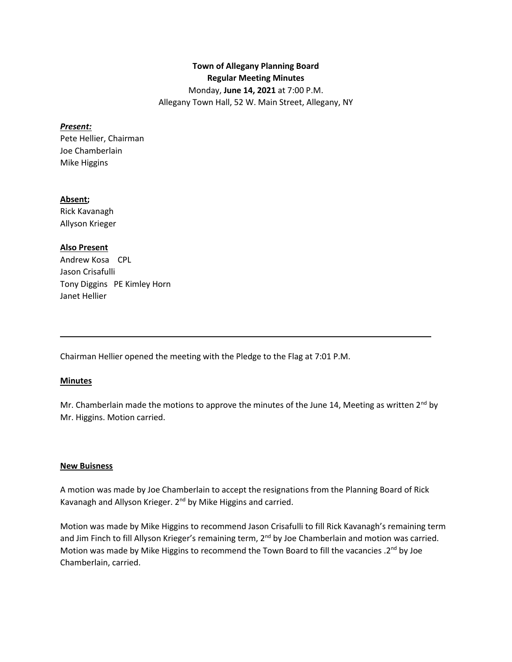# **Town of Allegany Planning Board Regular Meeting Minutes** Monday, **June 14, 2021** at 7:00 P.M. Allegany Town Hall, 52 W. Main Street, Allegany, NY

#### *Present:*

Pete Hellier, Chairman Joe Chamberlain Mike Higgins

#### **Absent;**

Rick Kavanagh Allyson Krieger

### **Also Present**

Andrew Kosa CPL Jason Crisafulli Tony Diggins PE Kimley Horn Janet Hellier

Chairman Hellier opened the meeting with the Pledge to the Flag at 7:01 P.M.

### **Minutes**

Mr. Chamberlain made the motions to approve the minutes of the June 14, Meeting as written  $2^{nd}$  by Mr. Higgins. Motion carried.

\_\_\_\_\_\_\_\_\_\_\_\_\_\_\_\_\_\_\_\_\_\_\_\_\_\_\_\_\_\_\_\_\_\_\_\_\_\_\_\_\_\_\_\_\_\_\_\_\_\_\_\_\_\_\_\_\_\_\_\_\_\_\_\_\_\_\_\_\_\_\_\_\_\_\_\_\_\_\_\_\_

#### **New Buisness**

A motion was made by Joe Chamberlain to accept the resignations from the Planning Board of Rick Kavanagh and Allyson Krieger. 2<sup>nd</sup> by Mike Higgins and carried.

Motion was made by Mike Higgins to recommend Jason Crisafulli to fill Rick Kavanagh's remaining term and Jim Finch to fill Allyson Krieger's remaining term, 2<sup>nd</sup> by Joe Chamberlain and motion was carried. Motion was made by Mike Higgins to recommend the Town Board to fill the vacancies .2<sup>nd</sup> by Joe Chamberlain, carried.